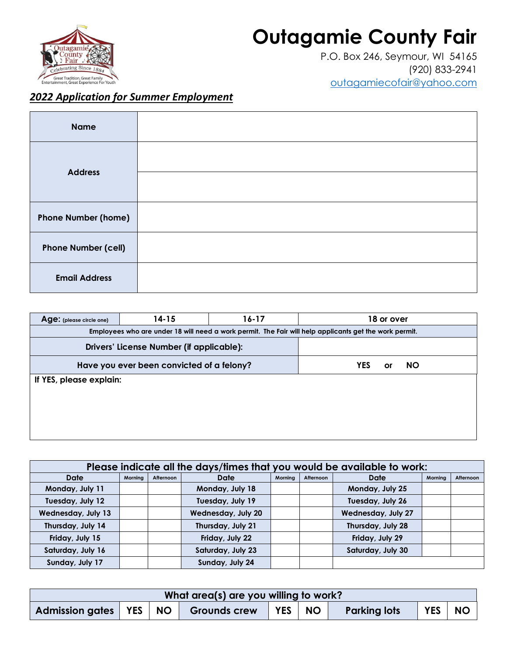## **Outagamie County Fair**



P.O. Box 246, Seymour, WI 54165 (920) 833-2941 [outagamiecofair@yahoo.com](mailto:outagamiecofair@yahoo.com)

## *2022 Application for Summer Employment*

| <b>Name</b>                |  |
|----------------------------|--|
| <b>Address</b>             |  |
|                            |  |
| <b>Phone Number (home)</b> |  |
| <b>Phone Number (cell)</b> |  |
| <b>Email Address</b>       |  |

| Age: (please circle one) | 14-15                                     | 16-17                                                                                                  |     | 18 or over |           |
|--------------------------|-------------------------------------------|--------------------------------------------------------------------------------------------------------|-----|------------|-----------|
|                          |                                           | Employees who are under 18 will need a work permit. The Fair will help applicants get the work permit. |     |            |           |
|                          | Drivers' License Number (if applicable):  |                                                                                                        |     |            |           |
|                          | Have you ever been convicted of a felony? |                                                                                                        | YES | or         | <b>NO</b> |
| If YES, please explain:  |                                           |                                                                                                        |     |            |           |
|                          |                                           |                                                                                                        |     |            |           |
|                          |                                           |                                                                                                        |     |            |           |
|                          |                                           |                                                                                                        |     |            |           |
|                          |                                           |                                                                                                        |     |            |           |

| Please indicate all the days/times that you would be available to work: |         |           |                              |  |      |                           |           |  |
|-------------------------------------------------------------------------|---------|-----------|------------------------------|--|------|---------------------------|-----------|--|
| Date                                                                    | Morning | Afternoon | Date<br>Mornina<br>Afternoon |  | Date | Morning                   | Afternoon |  |
| Monday, July 11                                                         |         |           | Monday, July 18              |  |      | Monday, July 25           |           |  |
| Tuesday, July 12                                                        |         |           | Tuesday, July 19             |  |      | Tuesday, July 26          |           |  |
| <b>Wednesday, July 13</b>                                               |         |           | <b>Wednesday, July 20</b>    |  |      | <b>Wednesday, July 27</b> |           |  |
| Thursday, July 14                                                       |         |           | Thursday, July 21            |  |      | Thursday, July 28         |           |  |
| Friday, July 15                                                         |         |           | Friday, July 22              |  |      | Friday, July 29           |           |  |
| Saturday, July 16                                                       |         |           | Saturday, July 23            |  |      | Saturday, July 30         |           |  |
| Sunday, July 17                                                         |         |           | Sunday, July 24              |  |      |                           |           |  |

| What area(s) are you willing to work? |  |           |                     |            |           |                     |            |           |
|---------------------------------------|--|-----------|---------------------|------------|-----------|---------------------|------------|-----------|
| <b>Admission gates</b>   YES          |  | <b>NO</b> | <b>Grounds crew</b> | <b>YES</b> | <b>NO</b> | <b>Parking lots</b> | <b>YES</b> | <b>NO</b> |